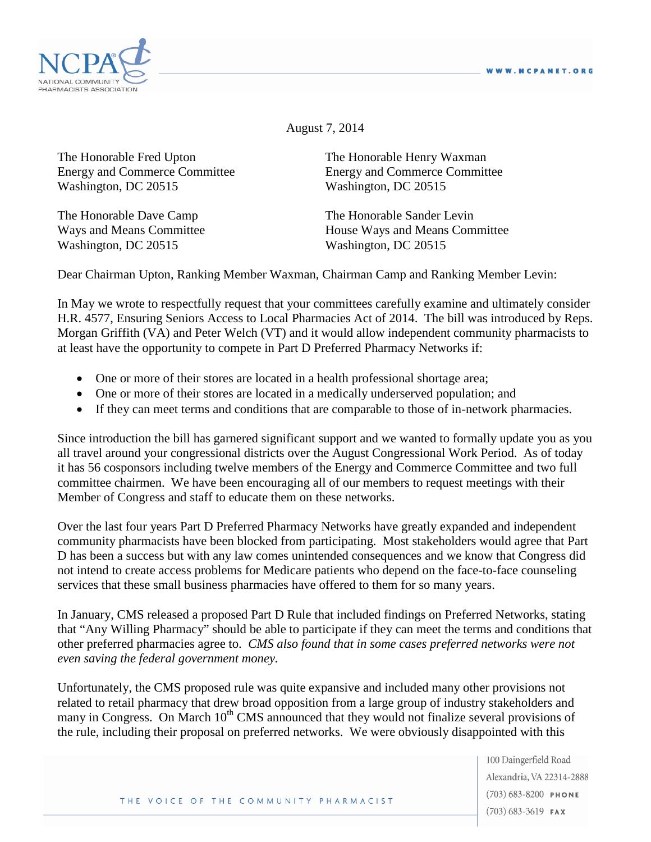

August 7, 2014

The Honorable Fred Upton The Honorable Henry Waxman Energy and Commerce Committee Energy and Commerce Committee Washington, DC 20515 Washington, DC 20515

Washington, DC 20515 Washington, DC 20515

The Honorable Dave Camp The Honorable Sander Levin Ways and Means Committee **House Ways and Means Committee** 

Dear Chairman Upton, Ranking Member Waxman, Chairman Camp and Ranking Member Levin:

In May we wrote to respectfully request that your committees carefully examine and ultimately consider H.R. 4577, Ensuring Seniors Access to Local Pharmacies Act of 2014. The bill was introduced by Reps. Morgan Griffith (VA) and Peter Welch (VT) and it would allow independent community pharmacists to at least have the opportunity to compete in Part D Preferred Pharmacy Networks if:

- One or more of their stores are located in a health professional shortage area;
- One or more of their stores are located in a medically underserved population; and
- If they can meet terms and conditions that are comparable to those of in-network pharmacies.

Since introduction the bill has garnered significant support and we wanted to formally update you as you all travel around your congressional districts over the August Congressional Work Period. As of today it has 56 cosponsors including twelve members of the Energy and Commerce Committee and two full committee chairmen. We have been encouraging all of our members to request meetings with their Member of Congress and staff to educate them on these networks.

Over the last four years Part D Preferred Pharmacy Networks have greatly expanded and independent community pharmacists have been blocked from participating. Most stakeholders would agree that Part D has been a success but with any law comes unintended consequences and we know that Congress did not intend to create access problems for Medicare patients who depend on the face-to-face counseling services that these small business pharmacies have offered to them for so many years.

In January, CMS released a proposed Part D Rule that included findings on Preferred Networks, stating that "Any Willing Pharmacy" should be able to participate if they can meet the terms and conditions that other preferred pharmacies agree to. *CMS also found that in some cases preferred networks were not even saving the federal government money.*

Unfortunately, the CMS proposed rule was quite expansive and included many other provisions not related to retail pharmacy that drew broad opposition from a large group of industry stakeholders and many in Congress. On March 10<sup>th</sup> CMS announced that they would not finalize several provisions of the rule, including their proposal on preferred networks. We were obviously disappointed with this

> 100 Daingerfield Road Alexandria, VA 22314-2888  $(703) 683 - 8200$  PHONE  $(703)$  683-3619 FAX

THE VOICE OF THE COMMUNITY PHARMACIST